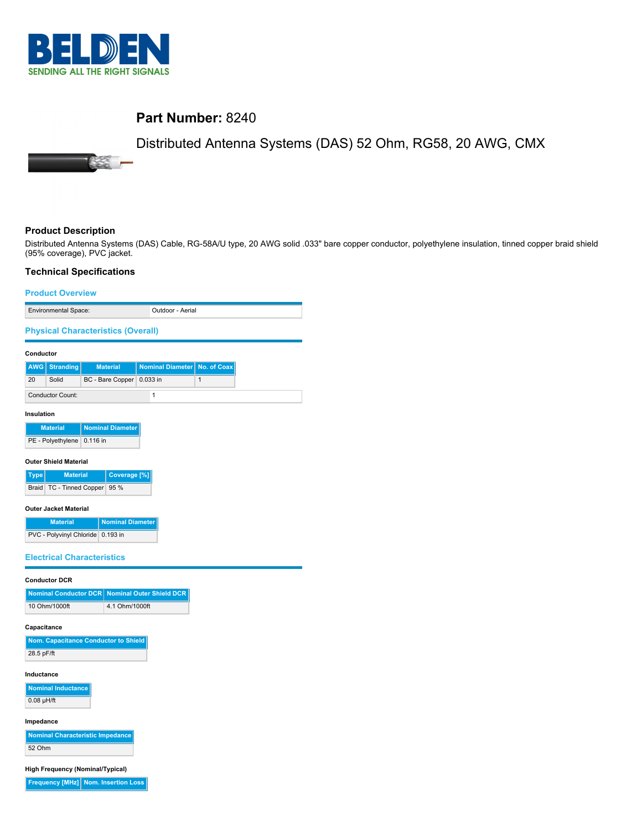

**SSS** 

# **Part Number:** 8240

# Distributed Antenna Systems (DAS) 52 Ohm, RG58, 20 AWG, CMX

# **Product Description**

Distributed Antenna Systems (DAS) Cable, RG-58A/U type, 20 AWG solid .033" bare copper conductor, polyethylene insulation, tinned copper braid shield (95% coverage), PVC jacket.

### **Technical Specifications**

# **Product Overview** Environmental Space: Outdoor - Aerial **Physical Characteristics (Overall) Conductor AWG Stranding Material Nominal Diameter No. of Coax** 20 Solid BC - Bare Copper 0.033 in 1 Conductor Count: 1 **Insulation Material Nominal Diameter** PE - Polyethylene 0.116 in **Outer Shield Material Type Material Coverage [%]** Braid TC - Tinned Copper 95 % **Outer Jacket Material Material | Nominal Diameter** PVC - Polyvinyl Chloride 0.193 in **Electrical Characteristics Conductor DCR Nominal Conductor DCR Nominal Outer Shield DCR** 10 Ohm/1000ft 4.1 Ohm/1000ft **Capacitance Nom. Capacitance Conductor to Shield** 28.5 pF/ft **Inductance Nominal Inductance** 0.08 µH/ft **Impedance**

**Nominal Characteristic Impedance** 52 Ohm

**High Frequency (Nominal/Typical)**

**Frequency [MHz] Nom. Insertion Loss**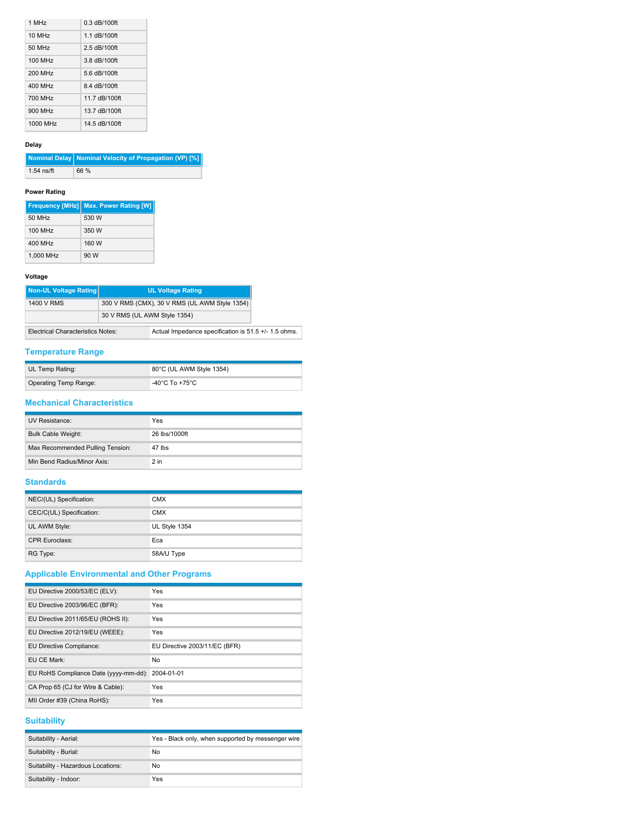| 1 MH <sub>z</sub>    | $0.3$ dB/100ft |
|----------------------|----------------|
| $10$ MH <sub>z</sub> | 1.1 dB/100ft   |
| 50 MHz               | $2.5$ dB/100ft |
| <b>100 MHz</b>       | 3 8 dB/100ft   |
| 200 MHz              | $56$ dB/100ft  |
| 400 MHz              | 8.4 dB/100ft   |
| 700 MHz              | 11 7 dB/100ft  |
| 900 MHz              | 13.7 dB/100ft  |
| 1000 MHz             | 14 5 dB/100ft  |

## **Delay**

|              | Nominal Delay Nominal Velocity of Propagation (VP) [%] |
|--------------|--------------------------------------------------------|
| $1.54$ ns/ft | 66 %                                                   |

### **Power Rating**

|           | <b>Frequency [MHz] Max. Power Rating [W]</b> |
|-----------|----------------------------------------------|
| 50 MHz    | 530 W                                        |
| 100 MHz   | 350 W                                        |
| 400 MHz   | 160 W                                        |
| 1.000 MHz | 90 W                                         |

### **Voltage**

| Non-UL Voltage Rating                    |                              | <b>UL Voltage Rating</b>                             |
|------------------------------------------|------------------------------|------------------------------------------------------|
| 1400 V RMS                               |                              | 300 V RMS (CMX), 30 V RMS (UL AWM Style 1354)        |
|                                          | 30 V RMS (UL AWM Style 1354) |                                                      |
| <b>Electrical Characteristics Notes:</b> |                              | Actual Impedance specification is 51.5 +/- 1.5 ohms. |

## **Temperature Range**

| UL Temp Rating:       | 80°C (UL AWM Style 1354) |
|-----------------------|--------------------------|
| Operating Temp Range: | -40°C To +75°C           |

## **Mechanical Characteristics**

| UV Resistance:                   | Yes           |
|----------------------------------|---------------|
| <b>Bulk Cable Weight:</b>        | 26 lbs/1000ft |
| Max Recommended Pulling Tension: | 47 lbs        |
| Min Bend Radius/Minor Axis:      | $2$ in        |

## **Standards**

| NEC/(UL) Specification:  | <b>CMX</b>    |
|--------------------------|---------------|
| CEC/C(UL) Specification: | <b>CMX</b>    |
| UL AWM Style:            | UL Style 1354 |
| <b>CPR Euroclass:</b>    | Eca           |
| RG Type:                 | 58A/U Type    |

# **Applicable Environmental and Other Programs**

| EU Directive 2000/53/EC (ELV):        | Yes                           |
|---------------------------------------|-------------------------------|
| EU Directive 2003/96/EC (BFR):        | Yes                           |
| EU Directive 2011/65/EU (ROHS II):    | Yes                           |
| EU Directive 2012/19/EU (WEEE):       | Yes                           |
| EU Directive Compliance:              | EU Directive 2003/11/EC (BFR) |
| EU CE Mark:                           | No                            |
| EU RoHS Compliance Date (yyyy-mm-dd): | 2004-01-01                    |
| CA Prop 65 (CJ for Wire & Cable):     | Yes                           |
| MII Order #39 (China RoHS):           | Yes                           |

# **Suitability**

| Suitability - Aerial:              | Yes - Black only, when supported by messenger wire |
|------------------------------------|----------------------------------------------------|
| Suitability - Burial:              | No                                                 |
| Suitability - Hazardous Locations: | No                                                 |
| Suitability - Indoor:              | Yes                                                |